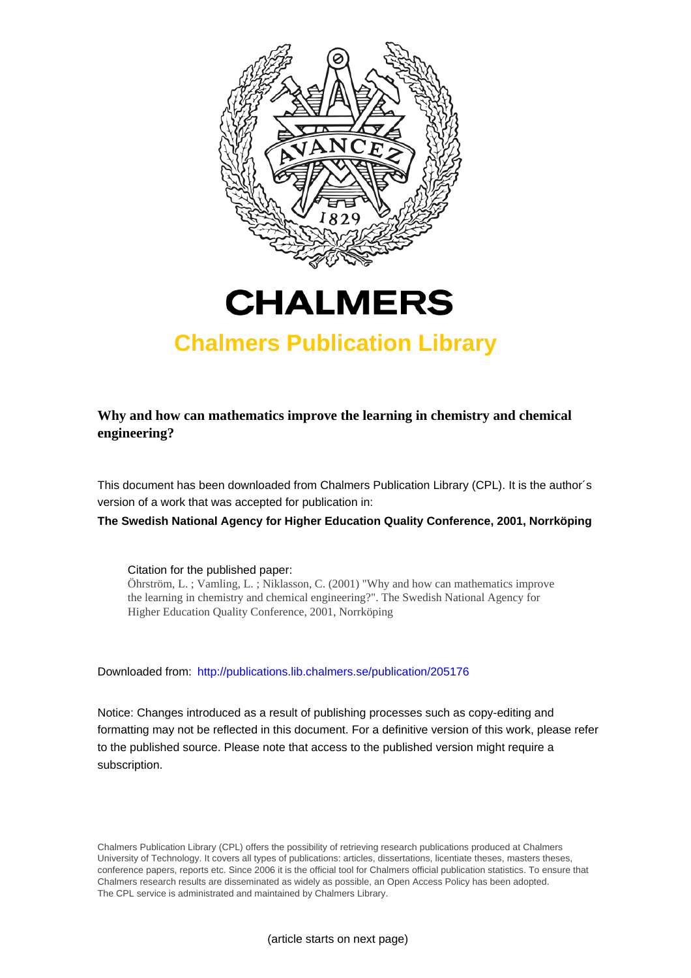



# **Chalmers Publication Library**

**Why and how can mathematics improve the learning in chemistry and chemical engineering?**

This document has been downloaded from Chalmers Publication Library (CPL). It is the author´s version of a work that was accepted for publication in:

**The Swedish National Agency for Higher Education Quality Conference, 2001, Norrköping**

Citation for the published paper:

Öhrström, L. ; Vamling, L. ; Niklasson, C. (2001) "Why and how can mathematics improve the learning in chemistry and chemical engineering?". The Swedish National Agency for Higher Education Quality Conference, 2001, Norrköping

Downloaded from: <http://publications.lib.chalmers.se/publication/205176>

Notice: Changes introduced as a result of publishing processes such as copy-editing and formatting may not be reflected in this document. For a definitive version of this work, please refer to the published source. Please note that access to the published version might require a subscription.

Chalmers Publication Library (CPL) offers the possibility of retrieving research publications produced at Chalmers University of Technology. It covers all types of publications: articles, dissertations, licentiate theses, masters theses, conference papers, reports etc. Since 2006 it is the official tool for Chalmers official publication statistics. To ensure that Chalmers research results are disseminated as widely as possible, an Open Access Policy has been adopted. The CPL service is administrated and maintained by Chalmers Library.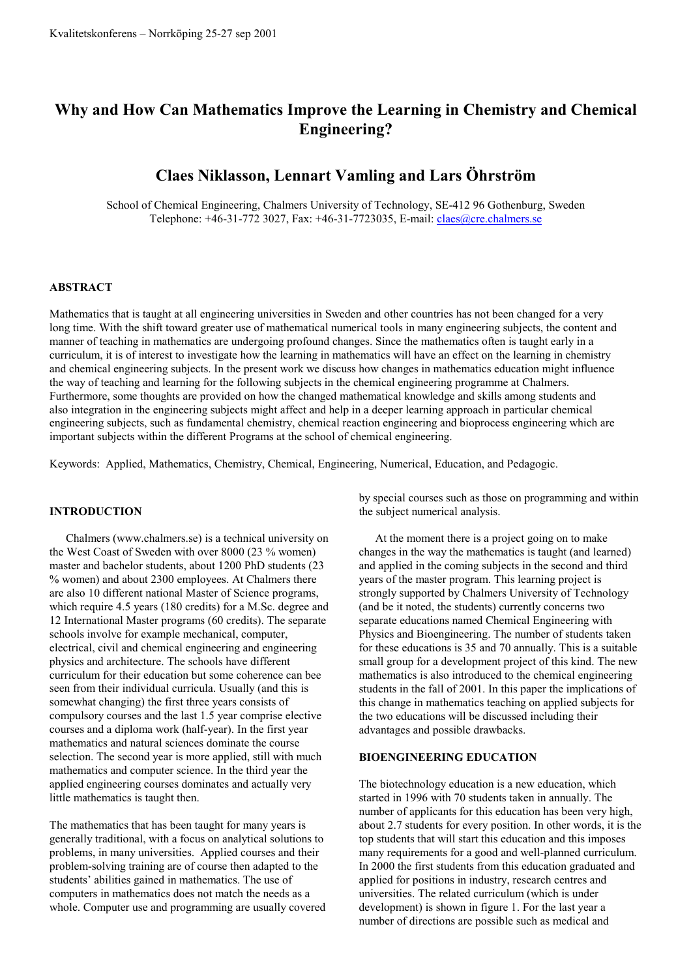# **Why and How Can Mathematics Improve the Learning in Chemistry and Chemical Engineering?**

# **Claes Niklasson, Lennart Vamling and Lars Öhrström**

School of Chemical Engineering, Chalmers University of Technology, SE-412 96 Gothenburg, Sweden Telephone: +46-31-772 3027, Fax: +46-31-7723035, E-mail: claes@cre.chalmers.se

#### **ABSTRACT**

Mathematics that is taught at all engineering universities in Sweden and other countries has not been changed for a very long time. With the shift toward greater use of mathematical numerical tools in many engineering subjects, the content and manner of teaching in mathematics are undergoing profound changes. Since the mathematics often is taught early in a curriculum, it is of interest to investigate how the learning in mathematics will have an effect on the learning in chemistry and chemical engineering subjects. In the present work we discuss how changes in mathematics education might influence the way of teaching and learning for the following subjects in the chemical engineering programme at Chalmers. Furthermore, some thoughts are provided on how the changed mathematical knowledge and skills among students and also integration in the engineering subjects might affect and help in a deeper learning approach in particular chemical engineering subjects, such as fundamental chemistry, chemical reaction engineering and bioprocess engineering which are important subjects within the different Programs at the school of chemical engineering.

Keywords: Applied, Mathematics, Chemistry, Chemical, Engineering, Numerical, Education, and Pedagogic.

#### **INTRODUCTION**

Chalmers (www.chalmers.se) is a technical university on the West Coast of Sweden with over 8000 (23 % women) master and bachelor students, about 1200 PhD students (23 % women) and about 2300 employees. At Chalmers there are also 10 different national Master of Science programs, which require 4.5 years (180 credits) for a M.Sc. degree and 12 International Master programs (60 credits). The separate schools involve for example mechanical, computer, electrical, civil and chemical engineering and engineering physics and architecture. The schools have different curriculum for their education but some coherence can bee seen from their individual curricula. Usually (and this is somewhat changing) the first three years consists of compulsory courses and the last 1.5 year comprise elective courses and a diploma work (half-year). In the first year mathematics and natural sciences dominate the course selection. The second year is more applied, still with much mathematics and computer science. In the third year the applied engineering courses dominates and actually very little mathematics is taught then.

The mathematics that has been taught for many years is generally traditional, with a focus on analytical solutions to problems, in many universities. Applied courses and their problem-solving training are of course then adapted to the students' abilities gained in mathematics. The use of computers in mathematics does not match the needs as a whole. Computer use and programming are usually covered by special courses such as those on programming and within the subject numerical analysis.

At the moment there is a project going on to make changes in the way the mathematics is taught (and learned) and applied in the coming subjects in the second and third years of the master program. This learning project is strongly supported by Chalmers University of Technology (and be it noted, the students) currently concerns two separate educations named Chemical Engineering with Physics and Bioengineering. The number of students taken for these educations is 35 and 70 annually. This is a suitable small group for a development project of this kind. The new mathematics is also introduced to the chemical engineering students in the fall of 2001. In this paper the implications of this change in mathematics teaching on applied subjects for the two educations will be discussed including their advantages and possible drawbacks.

#### **BIOENGINEERING EDUCATION**

The biotechnology education is a new education, which started in 1996 with 70 students taken in annually. The number of applicants for this education has been very high. about 2.7 students for every position. In other words, it is the top students that will start this education and this imposes many requirements for a good and well-planned curriculum. In 2000 the first students from this education graduated and applied for positions in industry, research centres and universities. The related curriculum (which is under development) is shown in figure 1. For the last year a number of directions are possible such as medical and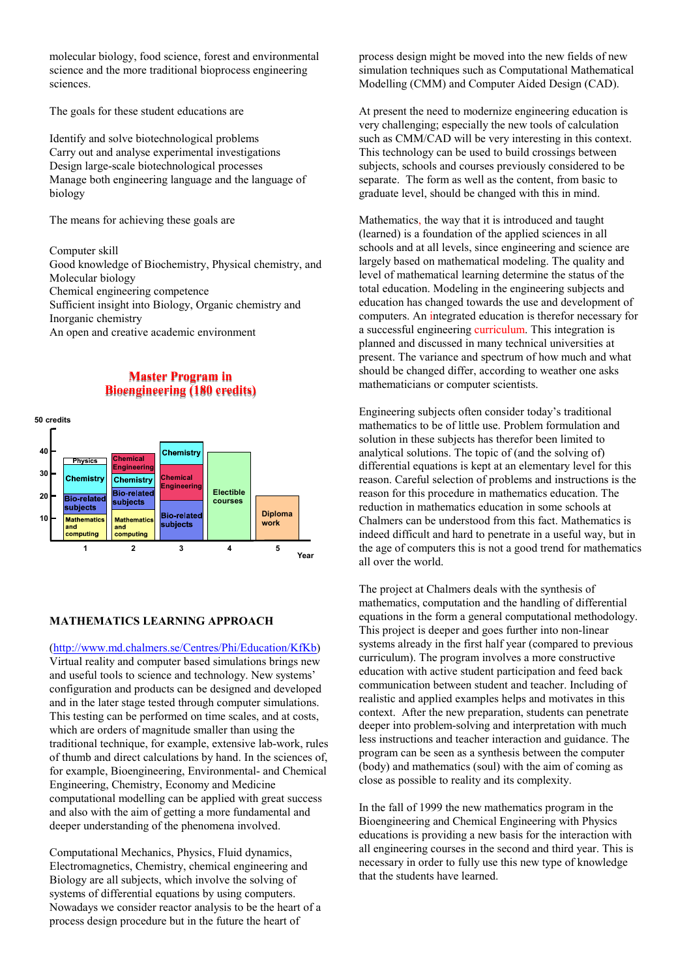molecular biology, food science, forest and environmental science and the more traditional bioprocess engineering sciences.

The goals for these student educations are

Identify and solve biotechnological problems Carry out and analyse experimental investigations Design large-scale biotechnological processes Manage both engineering language and the language of biology

The means for achieving these goals are

Computer skill

Good knowledge of Biochemistry, Physical chemistry, and Molecular biology

Chemical engineering competence

Sufficient insight into Biology, Organic chemistry and Inorganic chemistry

An open and creative academic environment

# **Master Program in Bioengineering (180 credits)**



## **MATHEMATICS LEARNING APPROACH**

(http://www.md.chalmers.se/Centres/Phi/Education/KfKb) Virtual reality and computer based simulations brings new and useful tools to science and technology. New systems' configuration and products can be designed and developed and in the later stage tested through computer simulations. This testing can be performed on time scales, and at costs, which are orders of magnitude smaller than using the traditional technique, for example, extensive lab-work, rules of thumb and direct calculations by hand. In the sciences of, for example, Bioengineering, Environmental- and Chemical Engineering, Chemistry, Economy and Medicine computational modelling can be applied with great success and also with the aim of getting a more fundamental and deeper understanding of the phenomena involved.

Computational Mechanics, Physics, Fluid dynamics, Electromagnetics, Chemistry, chemical engineering and Biology are all subjects, which involve the solving of systems of differential equations by using computers. Nowadays we consider reactor analysis to be the heart of a process design procedure but in the future the heart of

process design might be moved into the new fields of new simulation techniques such as Computational Mathematical Modelling (CMM) and Computer Aided Design (CAD).

At present the need to modernize engineering education is very challenging; especially the new tools of calculation such as CMM/CAD will be very interesting in this context. This technology can be used to build crossings between subjects, schools and courses previously considered to be separate. The form as well as the content, from basic to graduate level, should be changed with this in mind.

Mathematics, the way that it is introduced and taught (learned) is a foundation of the applied sciences in all schools and at all levels, since engineering and science are largely based on mathematical modeling. The quality and level of mathematical learning determine the status of the total education. Modeling in the engineering subjects and education has changed towards the use and development of computers. An integrated education is therefor necessary for a successful engineering curriculum. This integration is planned and discussed in many technical universities at present. The variance and spectrum of how much and what should be changed differ, according to weather one asks mathematicians or computer scientists.

Engineering subjects often consider today's traditional mathematics to be of little use. Problem formulation and solution in these subjects has therefor been limited to analytical solutions. The topic of (and the solving of) differential equations is kept at an elementary level for this reason. Careful selection of problems and instructions is the reason for this procedure in mathematics education. The reduction in mathematics education in some schools at Chalmers can be understood from this fact. Mathematics is indeed difficult and hard to penetrate in a useful way, but in the age of computers this is not a good trend for mathematics all over the world.

The project at Chalmers deals with the synthesis of mathematics, computation and the handling of differential equations in the form a general computational methodology. This project is deeper and goes further into non-linear systems already in the first half year (compared to previous curriculum). The program involves a more constructive education with active student participation and feed back communication between student and teacher. Including of realistic and applied examples helps and motivates in this context. After the new preparation, students can penetrate deeper into problem-solving and interpretation with much less instructions and teacher interaction and guidance. The program can be seen as a synthesis between the computer (body) and mathematics (soul) with the aim of coming as close as possible to reality and its complexity.

In the fall of 1999 the new mathematics program in the Bioengineering and Chemical Engineering with Physics educations is providing a new basis for the interaction with all engineering courses in the second and third year. This is necessary in order to fully use this new type of knowledge that the students have learned.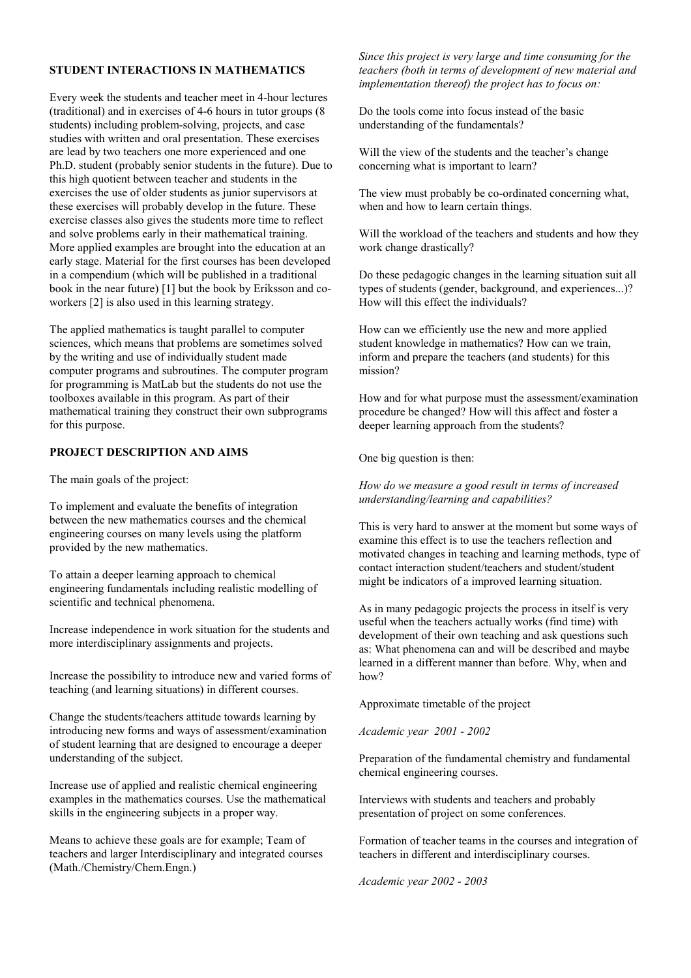# **STUDENT INTERACTIONS IN MATHEMATICS**

Every week the students and teacher meet in 4-hour lectures (traditional) and in exercises of 4-6 hours in tutor groups (8 students) including problem-solving, projects, and case studies with written and oral presentation. These exercises are lead by two teachers one more experienced and one Ph.D. student (probably senior students in the future). Due to this high quotient between teacher and students in the exercises the use of older students as junior supervisors at these exercises will probably develop in the future. These exercise classes also gives the students more time to reflect and solve problems early in their mathematical training. More applied examples are brought into the education at an early stage. Material for the first courses has been developed in a compendium (which will be published in a traditional book in the near future) [1] but the book by Eriksson and coworkers [2] is also used in this learning strategy.

The applied mathematics is taught parallel to computer sciences, which means that problems are sometimes solved by the writing and use of individually student made computer programs and subroutines. The computer program for programming is MatLab but the students do not use the toolboxes available in this program. As part of their mathematical training they construct their own subprograms for this purpose.

#### **PROJECT DESCRIPTION AND AIMS**

The main goals of the project:

To implement and evaluate the benefits of integration between the new mathematics courses and the chemical engineering courses on many levels using the platform provided by the new mathematics.

To attain a deeper learning approach to chemical engineering fundamentals including realistic modelling of scientific and technical phenomena.

Increase independence in work situation for the students and more interdisciplinary assignments and projects.

Increase the possibility to introduce new and varied forms of teaching (and learning situations) in different courses.

Change the students/teachers attitude towards learning by introducing new forms and ways of assessment/examination of student learning that are designed to encourage a deeper understanding of the subject.

Increase use of applied and realistic chemical engineering examples in the mathematics courses. Use the mathematical skills in the engineering subjects in a proper way.

Means to achieve these goals are for example; Team of teachers and larger Interdisciplinary and integrated courses (Math./Chemistry/Chem.Engn.)

*Since this project is very large and time consuming for the teachers (both in terms of development of new material and implementation thereof) the project has to focus on:* 

Do the tools come into focus instead of the basic understanding of the fundamentals?

Will the view of the students and the teacher's change concerning what is important to learn?

The view must probably be co-ordinated concerning what, when and how to learn certain things.

Will the workload of the teachers and students and how they work change drastically?

Do these pedagogic changes in the learning situation suit all types of students (gender, background, and experiences...)? How will this effect the individuals?

How can we efficiently use the new and more applied student knowledge in mathematics? How can we train, inform and prepare the teachers (and students) for this mission?

How and for what purpose must the assessment/examination procedure be changed? How will this affect and foster a deeper learning approach from the students?

One big question is then:

*How do we measure a good result in terms of increased understanding/learning and capabilities?* 

This is very hard to answer at the moment but some ways of examine this effect is to use the teachers reflection and motivated changes in teaching and learning methods, type of contact interaction student/teachers and student/student might be indicators of a improved learning situation.

As in many pedagogic projects the process in itself is very useful when the teachers actually works (find time) with development of their own teaching and ask questions such as: What phenomena can and will be described and maybe learned in a different manner than before. Why, when and how?

Approximate timetable of the project

*Academic year 2001 - 2002* 

Preparation of the fundamental chemistry and fundamental chemical engineering courses.

Interviews with students and teachers and probably presentation of project on some conferences.

Formation of teacher teams in the courses and integration of teachers in different and interdisciplinary courses.

*Academic year 2002 - 2003*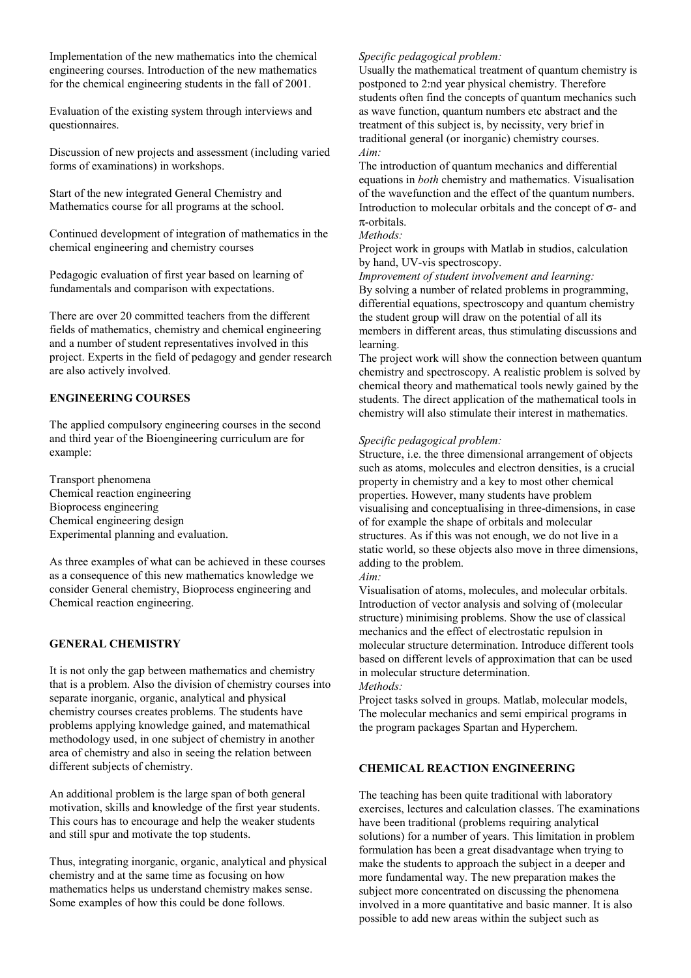Implementation of the new mathematics into the chemical engineering courses. Introduction of the new mathematics for the chemical engineering students in the fall of 2001.

Evaluation of the existing system through interviews and questionnaires.

Discussion of new projects and assessment (including varied forms of examinations) in workshops.

Start of the new integrated General Chemistry and Mathematics course for all programs at the school.

Continued development of integration of mathematics in the chemical engineering and chemistry courses

Pedagogic evaluation of first year based on learning of fundamentals and comparison with expectations.

There are over 20 committed teachers from the different fields of mathematics, chemistry and chemical engineering and a number of student representatives involved in this project. Experts in the field of pedagogy and gender research are also actively involved.

# **ENGINEERING COURSES**

The applied compulsory engineering courses in the second and third year of the Bioengineering curriculum are for example:

Transport phenomena Chemical reaction engineering Bioprocess engineering Chemical engineering design Experimental planning and evaluation.

As three examples of what can be achieved in these courses as a consequence of this new mathematics knowledge we consider General chemistry, Bioprocess engineering and Chemical reaction engineering.

# **GENERAL CHEMISTRY**

It is not only the gap between mathematics and chemistry that is a problem. Also the division of chemistry courses into separate inorganic, organic, analytical and physical chemistry courses creates problems. The students have problems applying knowledge gained, and matemathical methodology used, in one subject of chemistry in another area of chemistry and also in seeing the relation between different subjects of chemistry.

An additional problem is the large span of both general motivation, skills and knowledge of the first year students. This cours has to encourage and help the weaker students and still spur and motivate the top students.

Thus, integrating inorganic, organic, analytical and physical chemistry and at the same time as focusing on how mathematics helps us understand chemistry makes sense. Some examples of how this could be done follows.

# *Specific pedagogical problem:*

Usually the mathematical treatment of quantum chemistry is postponed to 2:nd year physical chemistry. Therefore students often find the concepts of quantum mechanics such as wave function, quantum numbers etc abstract and the treatment of this subject is, by necissity, very brief in traditional general (or inorganic) chemistry courses. *Aim:*

The introduction of quantum mechanics and differential equations in *both* chemistry and mathematics. Visualisation of the wavefunction and the effect of the quantum numbers. Introduction to molecular orbitals and the concept of  $\sigma$ - and π-orbitals.

#### *Methods:*

Project work in groups with Matlab in studios, calculation by hand, UV-vis spectroscopy.

*Improvement of student involvement and learning:* By solving a number of related problems in programming, differential equations, spectroscopy and quantum chemistry the student group will draw on the potential of all its members in different areas, thus stimulating discussions and learning.

The project work will show the connection between quantum chemistry and spectroscopy. A realistic problem is solved by chemical theory and mathematical tools newly gained by the students. The direct application of the mathematical tools in chemistry will also stimulate their interest in mathematics.

#### *Specific pedagogical problem:*

Structure, i.e. the three dimensional arrangement of objects such as atoms, molecules and electron densities, is a crucial property in chemistry and a key to most other chemical properties. However, many students have problem visualising and conceptualising in three-dimensions, in case of for example the shape of orbitals and molecular structures. As if this was not enough, we do not live in a static world, so these objects also move in three dimensions, adding to the problem.

### *Aim:*

Visualisation of atoms, molecules, and molecular orbitals. Introduction of vector analysis and solving of (molecular structure) minimising problems. Show the use of classical mechanics and the effect of electrostatic repulsion in molecular structure determination. Introduce different tools based on different levels of approximation that can be used in molecular structure determination. *Methods:*

Project tasks solved in groups. Matlab, molecular models, The molecular mechanics and semi empirical programs in the program packages Spartan and Hyperchem.

# **CHEMICAL REACTION ENGINEERING**

The teaching has been quite traditional with laboratory exercises, lectures and calculation classes. The examinations have been traditional (problems requiring analytical solutions) for a number of years. This limitation in problem formulation has been a great disadvantage when trying to make the students to approach the subject in a deeper and more fundamental way. The new preparation makes the subject more concentrated on discussing the phenomena involved in a more quantitative and basic manner. It is also possible to add new areas within the subject such as